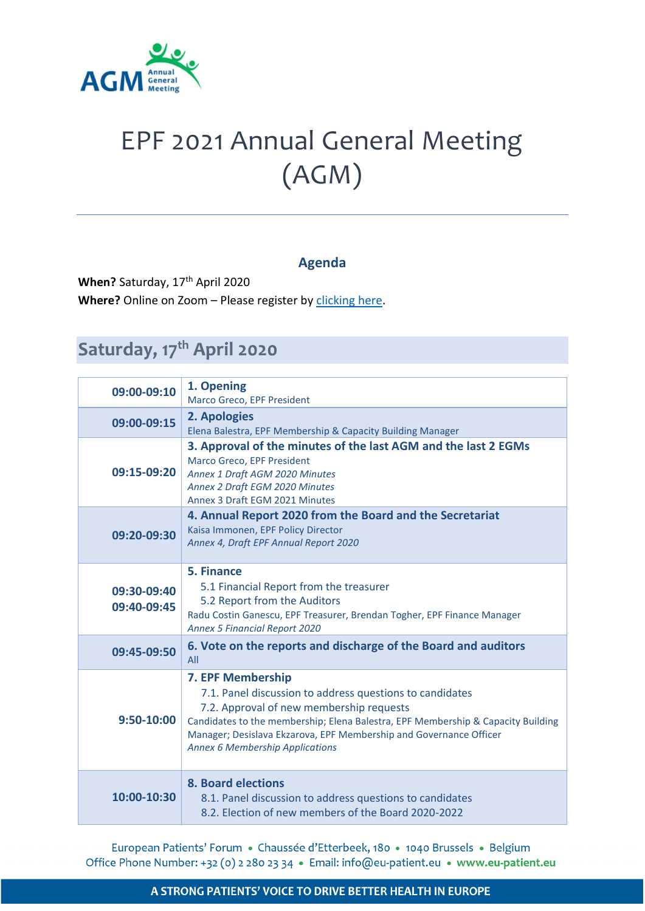

## EPF 2021 Annual General Meeting (AGM)

## **Agenda**

When? Saturday, 17<sup>th</sup> April 2020 Where? Online on Zoom - Please register by *clicking here*.

## Saturday, 17<sup>th</sup> April 2020

| 09:00-09:10                | 1. Opening<br>Marco Greco, EPF President                                                                                                                                                                                                                                                                                      |
|----------------------------|-------------------------------------------------------------------------------------------------------------------------------------------------------------------------------------------------------------------------------------------------------------------------------------------------------------------------------|
| 09:00-09:15                | 2. Apologies<br>Elena Balestra, EPF Membership & Capacity Building Manager                                                                                                                                                                                                                                                    |
| 09:15-09:20                | 3. Approval of the minutes of the last AGM and the last 2 EGMs<br>Marco Greco, EPF President<br>Annex 1 Draft AGM 2020 Minutes<br>Annex 2 Draft EGM 2020 Minutes<br>Annex 3 Draft EGM 2021 Minutes                                                                                                                            |
| 09:20-09:30                | 4. Annual Report 2020 from the Board and the Secretariat<br>Kaisa Immonen, EPF Policy Director<br>Annex 4, Draft EPF Annual Report 2020                                                                                                                                                                                       |
| 09:30-09:40<br>09:40-09:45 | 5. Finance<br>5.1 Financial Report from the treasurer<br>5.2 Report from the Auditors<br>Radu Costin Ganescu, EPF Treasurer, Brendan Togher, EPF Finance Manager<br><b>Annex 5 Financial Report 2020</b>                                                                                                                      |
| 09:45-09:50                | 6. Vote on the reports and discharge of the Board and auditors<br>All                                                                                                                                                                                                                                                         |
| $9:50 - 10:00$             | 7. EPF Membership<br>7.1. Panel discussion to address questions to candidates<br>7.2. Approval of new membership requests<br>Candidates to the membership; Elena Balestra, EPF Membership & Capacity Building<br>Manager; Desislava Ekzarova, EPF Membership and Governance Officer<br><b>Annex 6 Membership Applications</b> |
| 10:00-10:30                | <b>8. Board elections</b><br>8.1. Panel discussion to address questions to candidates<br>8.2. Election of new members of the Board 2020-2022                                                                                                                                                                                  |

European Patients' Forum · Chaussée d'Etterbeek, 180 · 1040 Brussels · Belgium Office Phone Number: +32 (0) 2 280 23 34 · Email: info@eu-patient.eu · www.eu-patient.eu

## A STRONG PATIENTS' VOICE TO DRIVE BETTER HEALTH IN EUROPE